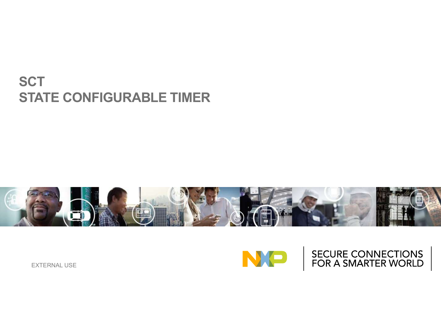#### **SCT STATE CONFIGURABLE TIMER**



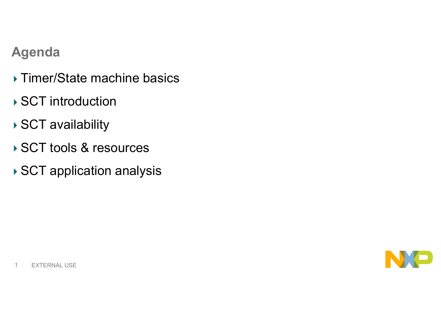#### **Agenda**

- ▶ Timer/State machine basics
- ▶ SCT introduction
- ▶ SCT availability
- ▶ SCT tools & resources
- ▶ SCT application analysis

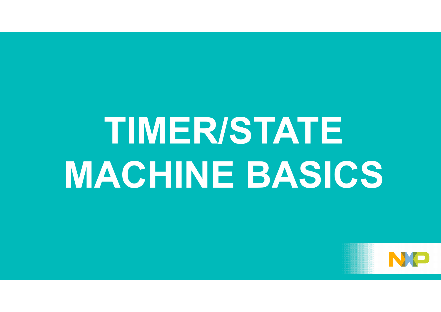## **TIMER/STATE MACHINE BASICS**

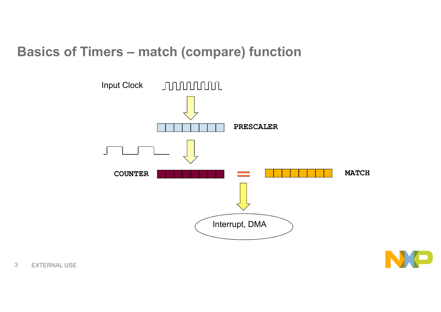#### **Basics of Timers – match (compare) function**



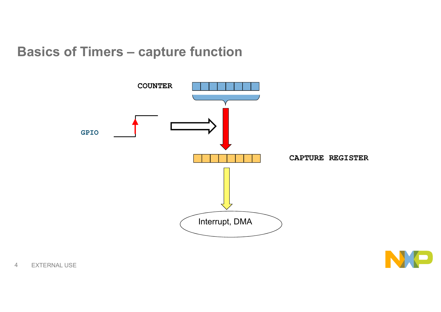#### **Basics of Timers – capture function**



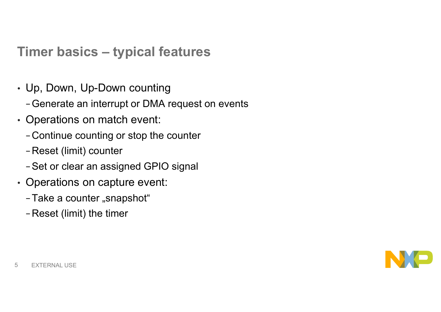#### **Timer basics – typical features**

- Up, Down, Up-Down counting
	- −Generate an interrupt or DMA request on events
- Operations on match event:
	- −Continue counting or stop the counter
	- −Reset (limit) counter
	- −Set or clear an assigned GPIO signal
- Operations on capture event:
	- -Take a counter "snapshot"
	- −Reset (limit) the timer

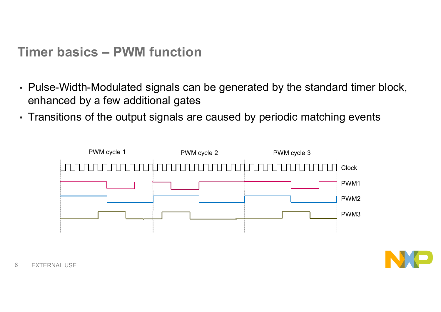**Timer basics – PWM function**

- Pulse-Width-Modulated signals can be generated by the standard timer block, enhanced by a few additional gates
- Transitions of the output signals are caused by periodic matching events



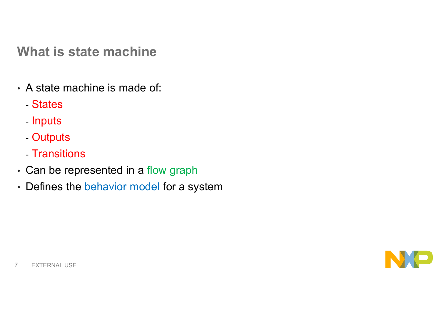**What is state machine**

- A state machine is made of:
	- States
	- Inputs
	- Outputs
	- Transitions
- Can be represented in a flow graph
- Defines the behavior model for a system

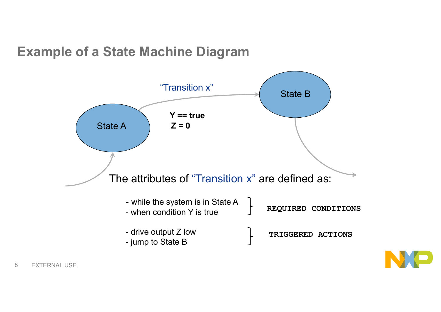#### **Example of a State Machine Diagram**



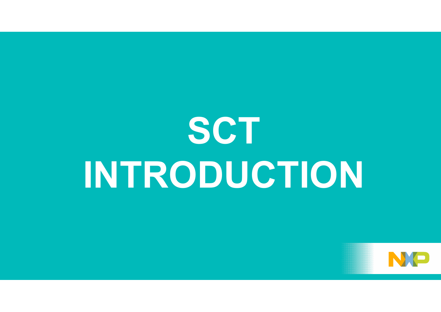## **SCT INTRODUCTION**

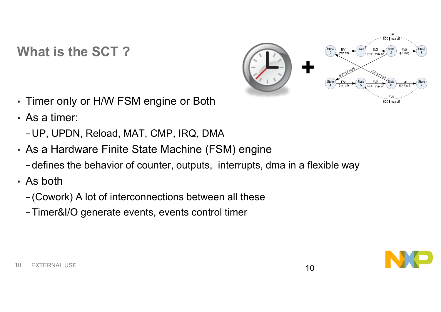#### **What is the SCT ?**



- Timer only or H/W FSM engine or Both
- As a timer:
	- −UP, UPDN, Reload, MAT, CMP, IRQ, DMA
- As a Hardware Finite State Machine (FSM) engine
	- − defines the behavior of counter, outputs, interrupts, dma in a flexible way
- As both
	- − (Cowork) A lot of interconnections between all these
	- −Timer&I/O generate events, events control timer

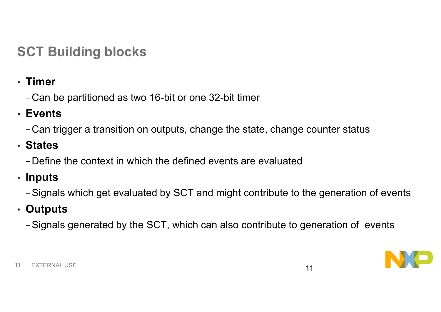### **SCT Building blocks**

• **Timer**

−Can be partitioned as two 16-bit or one 32-bit timer

• **Events**

−Can trigger a transition on outputs, change the state, change counter status

• **States**

−Define the context in which the defined events are evaluated

• **Inputs**

−Signals which get evaluated by SCT and might contribute to the generation of events

• **Outputs**

−Signals generated by the SCT, which can also contribute to generation of events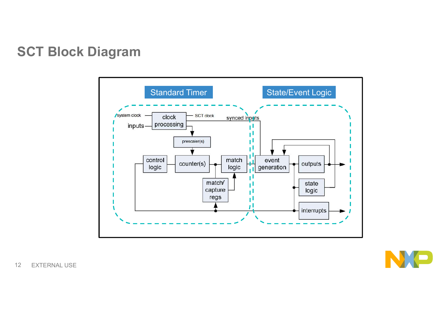#### **SCT Block Diagram**



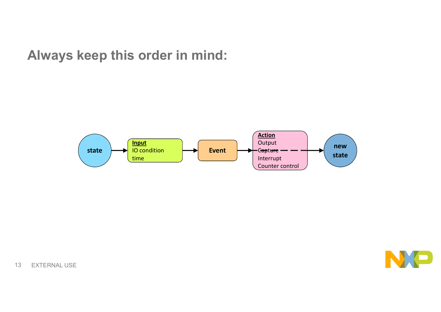#### **Always keep this order in mind:**

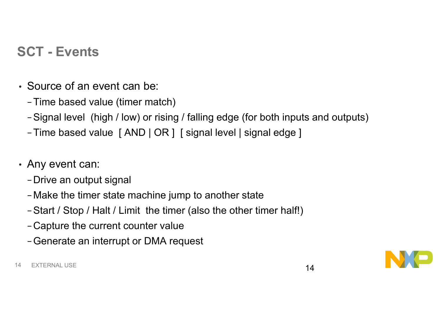#### **SCT - Events**

- Source of an event can be:
	- −Time based value (timer match)
	- −Signal level (high / low) or rising / falling edge (for both inputs and outputs)
	- −Time based value [ AND | OR ] [ signal level | signal edge ]
- Any event can:
	- −Drive an output signal
	- −Make the timer state machine jump to another state
	- −Start / Stop / Halt / Limit the timer (also the other timer half!)
	- −Capture the current counter value
	- −Generate an interrupt or DMA request

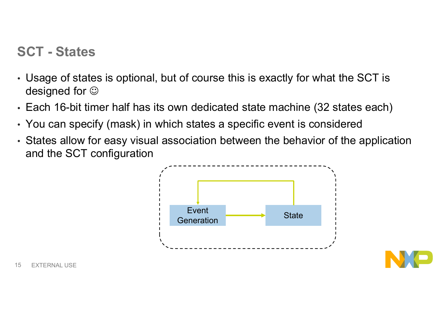#### **SCT - States**

- Usage of states is optional, but of course this is exactly for what the SCT is designed for  $\odot$
- Each 16-bit timer half has its own dedicated state machine (32 states each)
- You can specify (mask) in which states a specific event is considered
- States allow for easy visual association between the behavior of the application and the SCT configuration

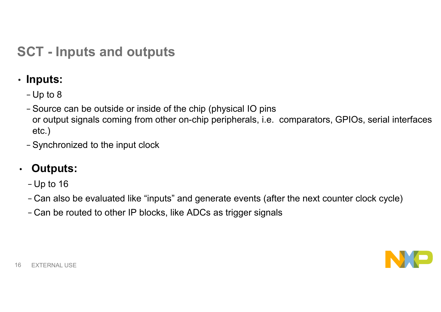#### **SCT - Inputs and outputs**

- **Inputs:**
	- − Up to 8
	- − Source can be outside or inside of the chip (physical IO pins or output signals coming from other on-chip peripherals, i.e. comparators, GPIOs, serial interfaces etc.)
	- − Synchronized to the input clock

#### • **Outputs:**

- − Up to 16
- − Can also be evaluated like "inputs" and generate events (after the next counter clock cycle)
- − Can be routed to other IP blocks, like ADCs as trigger signals

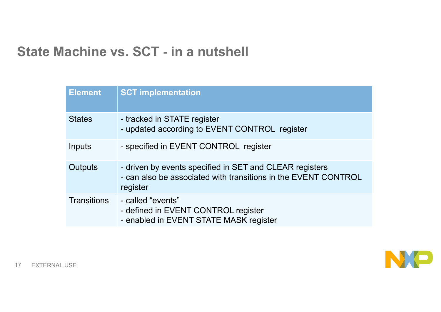#### **State Machine vs. SCT - in a nutshell**

| <b>Element</b>     | <b>SCT implementation</b>                                                                                                             |
|--------------------|---------------------------------------------------------------------------------------------------------------------------------------|
| <b>States</b>      | - tracked in STATE register<br>- updated according to EVENT CONTROL register                                                          |
| Inputs             | - specified in EVENT CONTROL register                                                                                                 |
| Outputs            | - driven by events specified in SET and CLEAR registers<br>- can also be associated with transitions in the EVENT CONTROL<br>register |
| <b>Transitions</b> | - called "events"<br>- defined in EVENT CONTROL register<br>- enabled in EVENT STATE MASK register                                    |

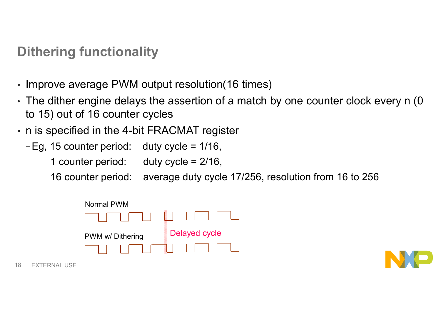#### **Dithering functionality**

- Improve average PWM output resolution(16 times)
- The dither engine delays the assertion of a match by one counter clock every n (0 to 15) out of 16 counter cycles
- n is specified in the 4-bit FRACMAT register
	- −Eg, 15 counter period: duty cycle = 1/16,
		- 1 counter period: duty cycle = 2/16,
		- 16 counter period: average duty cycle 17/256, resolution from 16 to 256



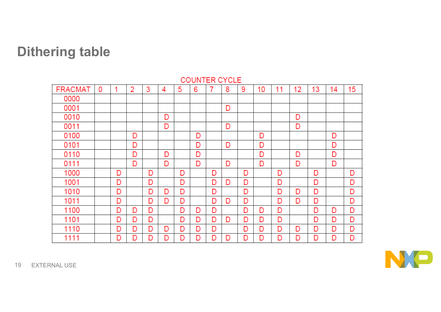#### **Dithering table**



**COUNTER CYCLE** 

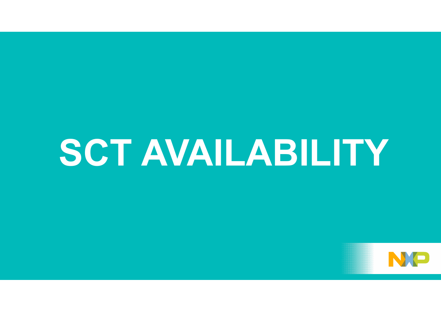### **SCT AVAILABILITY**

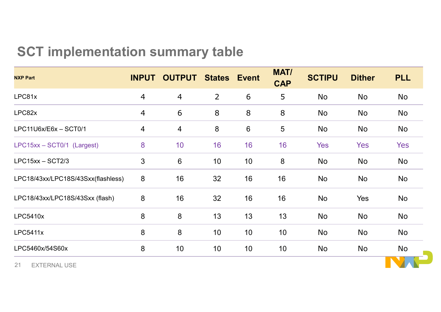#### **SCT implementation summary table**

| <b>NXP Part</b>                    | <b>INPUT</b>   | <b>OUTPUT</b>  | <b>States</b>  | <b>Event</b>    | <b>MAT/</b><br><b>CAP</b> | <b>SCTIPU</b> | <b>Dither</b> | <b>PLL</b> |
|------------------------------------|----------------|----------------|----------------|-----------------|---------------------------|---------------|---------------|------------|
| LPC81x                             | $\overline{4}$ | $\overline{4}$ | $\overline{2}$ | 6               | 5                         | No            | <b>No</b>     | No         |
| LPC82x                             | $\overline{4}$ | 6              | 8              | 8               | 8                         | No            | No            | No         |
| LPC11U6x/E6x - SCT0/1              | $\overline{4}$ | $\overline{4}$ | $8\phantom{1}$ | $6\phantom{1}6$ | $5\phantom{.0}$           | No            | No            | No         |
| LPC15xx - SCT0/1 (Largest)         | 8              | 10             | 16             | 16              | 16                        | <b>Yes</b>    | Yes           | Yes        |
| $LPC15xx - SCT2/3$                 | 3              | $6\phantom{1}$ | 10             | 10 <sup>1</sup> | 8                         | No            | No            | No         |
| LPC18/43xx/LPC18S/43Sxx(flashless) | 8              | 16             | 32             | 16              | 16                        | <b>No</b>     | No            | <b>No</b>  |
| LPC18/43xx/LPC18S/43Sxx (flash)    | 8              | 16             | 32             | 16              | 16                        | <b>No</b>     | Yes           | <b>No</b>  |
| <b>LPC5410x</b>                    | 8              | $\bf 8$        | 13             | 13              | 13                        | No            | No            | <b>No</b>  |
| <b>LPC5411x</b>                    | 8              | 8              | 10             | 10              | 10                        | No            | No            | <b>No</b>  |
| LPC5460x/54S60x                    | 8              | 10             | 10             | 10              | 10                        | No            | No            | No         |
| <b>24 EVTEDNAL LICE</b>            |                |                |                |                 |                           |               |               |            |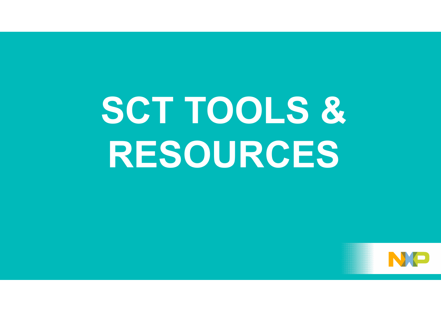# **SCT TOOLS & RESOURCES**

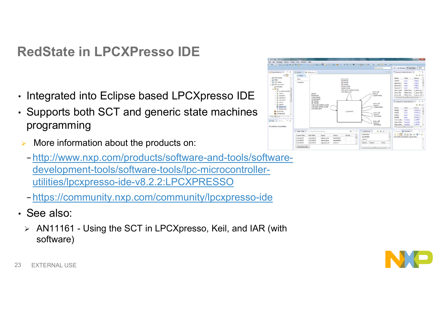#### **RedState in LPCXPresso IDE**

- Integrated into Eclipse based LPCXpresso IDE
- Supports both SCT and generic state machines programming
- More information about the products on:
	- − http://www.nxp.com/products/software-and-tools/softwaredevelopment-tools/software-tools/lpc-microcontrollerutilities/lpcxpresso-ide-v8.2.2:LPCXPRESSO
	- − https://community.nxp.com/community/lpcxpresso-ide
- See also:
	- AN11161 Using the SCT in LPCXpresso, Keil, and IAR (with software)





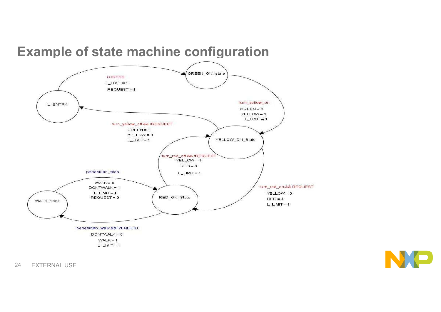

#### **Example of state machine configuration**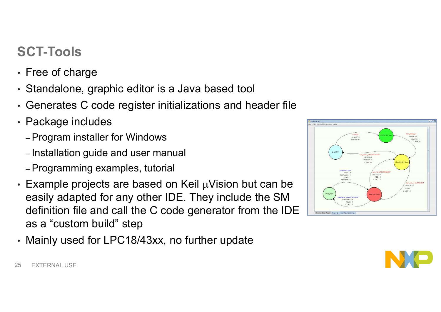### **SCT-Tools**

- Free of charge
- Standalone, graphic editor is a Java based tool
- Generates C code register initializations and header file
- Package includes
	- –Program installer for Windows
	- Installation guide and user manual
	- –Programming examples, tutorial
- $\cdot$  Example projects are based on Keil  $\mu$ Vision but can be easily adapted for any other IDE. They include the SM definition file and call the C code generator from the IDE as a "custom build" step
- Mainly used for LPC18/43xx, no further update



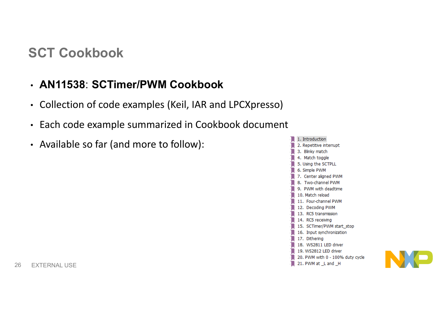#### **SCT Cookbook**

#### • **AN11538**: **SCTimer/PWM Cookbook**

- Collection of code examples (Keil, IAR and LPCXpresso)
- Each code example summarized in Cookbook document
- Available so far (and more to follow):



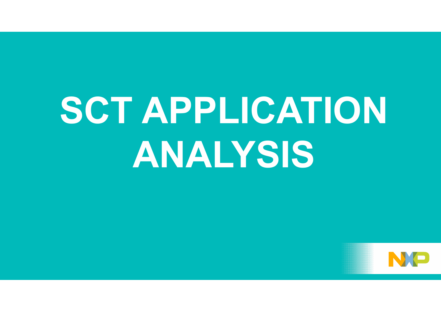# **SCT APPLICATION ANALYSIS**

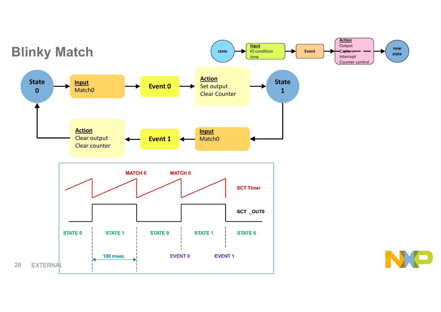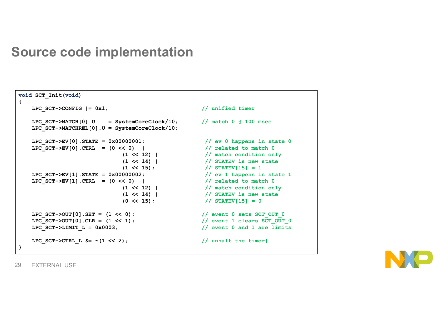#### **Source code implementation**

```
void SCT_Init(void)
{
   LPC SCT->CONFIG | = 0x1; // unified timer
   LPC SCT->MATCH[0].U = SystemCoreClock/10; // match 0 @ 100 msec
   LPC_SCT->MATCHREL[0].U = SystemCoreClock/10;
   LPC_SCT->EV[0].STATE = 0x00000001; // ev 0 happens in state 0
   LPC_SCT->EV[0].CTRL = (0 << 0) | // related to match 0
                        (1 << 12) | // match condition only
                        (1 << 14) | // STATEV is new state
                        (1 << 15); // STATEV[15] = 1
   LPC_SCT->EV[1].STATE = 0x00000002; // ev 1 happens in state 1
   LPC_SCT->EV[1].CTRL = (0 << 0) | // related to match 0
                        (1 << 12) | // match condition only
                        (1 << 14) | // STATEV is new state
                        (0 << 15); // STATEV[15] = 0
   LPC_SCT->OUT[0].SET = (1 << 0); // event 0 sets SCT_OUT_0
   LPC_SCT->OUT[0].CLR = (1 << 1); // event 1 clears SCT_OUT_0
   LPC SCT->LIMIT L = 0x0003; \frac{1}{2} // event 0 and 1 are limits
   LPC SCT->CTRL L \&= \sim(1 << 2); // unhalt the timer}
}
```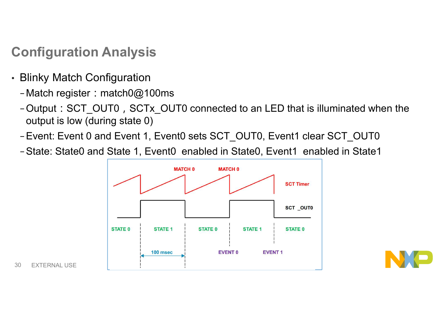#### **Configuration Analysis**

- Blinky Match Configuration
	- −Match register:match0@100ms
	- −Output:SCT\_OUT0,SCTx\_OUT0 connected to an LED that is illuminated when the output is low (during state 0)
	- −Event: Event 0 and Event 1, Event0 sets SCT\_OUT0, Event1 clear SCT\_OUT0
	- −State: State0 and State 1, Event0 enabled in State0, Event1 enabled in State1

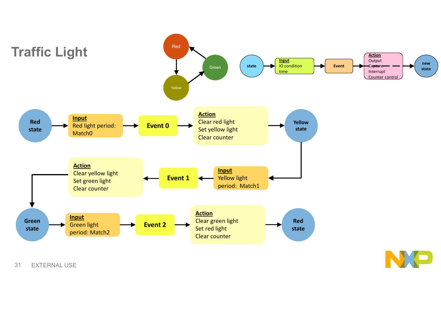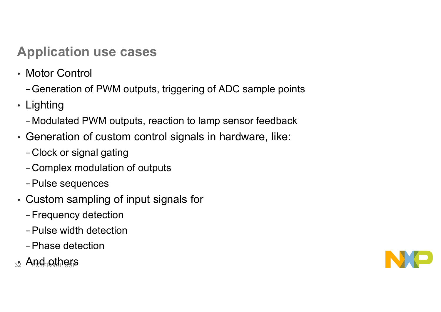#### **Application use cases**

- Motor Control
	- −Generation of PWM outputs, triggering of ADC sample points
- Lighting
	- −Modulated PWM outputs, reaction to lamp sensor feedback
- Generation of custom control signals in hardware, like:
	- −Clock or signal gating
	- −Complex modulation of outputs
	- −Pulse sequences
- Custom sampling of input signals for
	- −Frequency detection
	- −Pulse width detection
	- −Phase detection
- <sub>32</sub> And others

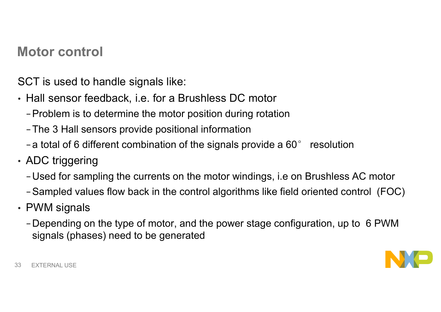#### **Motor control**

SCT is used to handle signals like:

- Hall sensor feedback, i.e. for a Brushless DC motor
	- −Problem is to determine the motor position during rotation
	- −The 3 Hall sensors provide positional information
	- − a total of 6 different combination of the signals provide a 60° resolution
- ADC triggering
	- −Used for sampling the currents on the motor windings, i.e on Brushless AC motor
	- −Sampled values flow back in the control algorithms like field oriented control (FOC)
- PWM signals
	- −Depending on the type of motor, and the power stage configuration, up to 6 PWM signals (phases) need to be generated